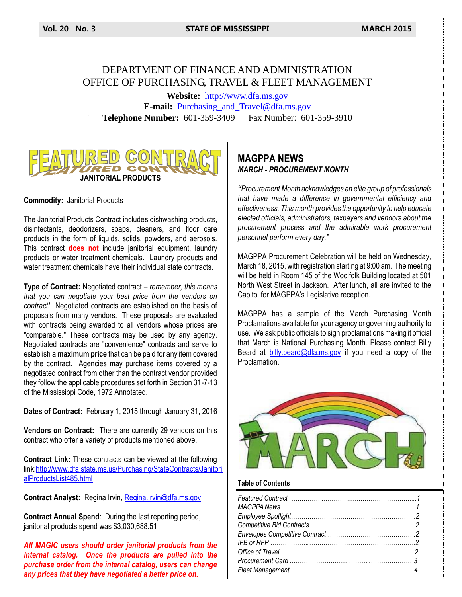**Vol. 20 No. 3 STATE OF MISSISSIPPI MARCH 2015**

# DEPARTMENT OF FINANCE AND ADMINISTRATION OFFICE OF PURCHASING, TRAVEL & FLEET MANAGEMENT

**Website:** [http://www.dfa.ms.gov](http://www.dfa.ms.gov/) **E-mail:** [Purchasing\\_and\\_Travel@dfa.ms.gov](mailto:Purchasing_and_Travel@dfa.ms.gov) **Telephone Number:** 601-359-3409 Fax Number: 601-359-3910



#### **Commodity:** Janitorial Products

The Janitorial Products Contract includes dishwashing products, disinfectants, deodorizers, soaps, cleaners, and floor care products in the form of liquids, solids, powders, and aerosols. This contract **does not** include janitorial equipment, laundry products or water treatment chemicals. Laundry products and water treatment chemicals have their individual state contracts.

**Type of Contract:** Negotiated contract – *remember, this means that you can negotiate your best price from the vendors on contract!* Negotiated contracts are established on the basis of proposals from many vendors. These proposals are evaluated with contracts being awarded to all vendors whose prices are "comparable." These contracts may be used by any agency. Negotiated contracts are "convenience" contracts and serve to establish a **maximum price** that can be paid for any item covered by the contract. Agencies may purchase items covered by a negotiated contract from other than the contract vendor provided they follow the applicable procedures set forth in Section 31-7-13 of the Mississippi Code, 1972 Annotated.

**Dates of Contract:** February 1, 2015 through January 31, 2016

**Vendors on Contract:** There are currently 29 vendors on this contract who offer a variety of products mentioned above.

**Contract Link:** These contracts can be viewed at the following lin[k:http://www.dfa.state.ms.us/Purchasing/StateContracts/Janitori](http://www.dfa.state.ms.us/Purchasing/StateContracts/JanitorialProductsList485.html) [alProductsList485.html](http://www.dfa.state.ms.us/Purchasing/StateContracts/JanitorialProductsList485.html)

**Contract Analyst:** Regina Irvin, [Regina.Irvin@dfa.ms.gov](mailto:Regina.Irvin@dfa.ms.gov)

**Contract Annual Spend**: During the last reporting period, janitorial products spend was \$3,030,688.51

*All MAGIC users should order janitorial products from the internal catalog. Once the products are pulled into the purchase order from the internal catalog, users can change any prices that they have negotiated a better price on.*

# **MAGPPA NEWS**  *MARCH - PROCUREMENT MONTH*

*"Procurement Month acknowledges an elite group of professionals that have made a difference in governmental efficiency and effectiveness. This month provides the opportunity to help educate elected officials, administrators, taxpayers and vendors about the procurement process and the admirable work procurement personnel perform every day."*

MAGPPA Procurement Celebration will be held on Wednesday, March 18, 2015, with registration starting at 9:00 am. The meeting will be held in Room 145 of the Woolfolk Building located at 501 North West Street in Jackson. After lunch, all are invited to the Capitol for MAGPPA's Legislative reception.

MAGPPA has a sample of the March Purchasing Month Proclamations available for your agency or governing authority to use. We ask public officials to sign proclamations making it official that March is National Purchasing Month. Please contact Billy Beard at [billy.beard@dfa.ms.gov](mailto:billy.beard@dfa.ms.gov) if you need a copy of the Proclamation.



#### **Table of Contents**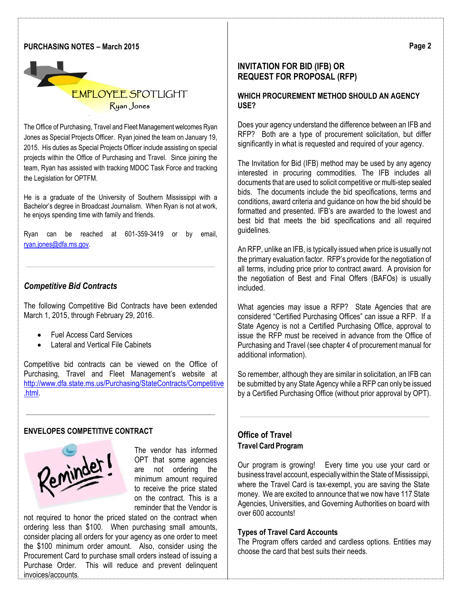#### **PURCHASING NOTES – March 2015**



The Office of Purchasing, Travel and Fleet Management welcomes Ryan Jones as Special Projects Officer. Ryan joined the team on January 19, 2015. His duties as Special Projects Officer include assisting on special projects within the Office of Purchasing and Travel. Since joining the team, Ryan has assisted with tracking MDOC Task Force and tracking the Legislation for OPTFM.

He is a graduate of the University of Southern Mississippi with a Bachelor's degree in Broadcast Journalism. When Ryan is not at work, he enjoys spending time with family and friends.

Ryan can be reached at 601-359-3419 or by email, [ryan.jones@dfa.ms.gov.](mailto:ryan.jones@dfa.ms.gov)

## *Competitive Bid Contracts*

The following Competitive Bid Contracts have been extended March 1, 2015, through February 29, 2016.

- Fuel Access Card Services
- Lateral and Vertical File Cabinets

Competitive bid contracts can be viewed on the Office of Purchasing, Travel and Fleet Management's website at [http://www.dfa.state.ms.us/Purchasing/StateContracts/Competitive](http://www.dfa.state.ms.us/Purchasing/StateContracts/Competitive.html) [.html.](http://www.dfa.state.ms.us/Purchasing/StateContracts/Competitive.html)

#### **ENVELOPES COMPETITIVE CONTRACT**



The vendor has informed OPT that some agencies are not ordering the minimum amount required to receive the price stated on the contract. This is a reminder that the Vendor is

not required to honor the priced stated on the contract when ordering less than \$100. When purchasing small amounts, consider placing all orders for your agency as one order to meet the \$100 minimum order amount. Also, consider using the Procurement Card to purchase small orders instead of issuing a Purchase Order. This will reduce and prevent delinquent invoices/accounts.

# **INVITATION FOR BID (IFB) OR REQUEST FOR PROPOSAL (RFP)**

## **WHICH PROCUREMENT METHOD SHOULD AN AGENCY USE?**

Does your agency understand the difference between an IFB and RFP? Both are a type of procurement solicitation, but differ significantly in what is requested and required of your agency.

The Invitation for Bid (IFB) method may be used by any agency interested in procuring commodities. The IFB includes all documents that are used to solicit competitive or multi-step sealed bids. The documents include the bid specifications, terms and conditions, award criteria and guidance on how the bid should be formatted and presented. IFB's are awarded to the lowest and best bid that meets the bid specifications and all required guidelines.

An RFP, unlike an IFB, is typically issued when price is usually not the primary evaluation factor. RFP's provide for the negotiation of all terms, including price prior to contract award. A provision for the negotiation of Best and Final Offers (BAFOs) is usually included.

What agencies may issue a RFP? State Agencies that are considered "Certified Purchasing Offices" can issue a RFP. If a State Agency is not a Certified Purchasing Office, approval to issue the RFP must be received in advance from the Office of Purchasing and Travel (see chapter 4 of procurement manual for additional information).

So remember, although they are similar in solicitation, an IFB can be submitted by any State Agency while a RFP can only be issued by a Certified Purchasing Office (without prior approval by OPT).

### **Office of Travel Travel Card Program**

Our program is growing! Every time you use your card or business travel account, especially within the State of Mississippi, where the Travel Card is tax-exempt, you are saving the State money. We are excited to announce that we now have 117 State Agencies, Universities, and Governing Authorities on board with over 600 accounts!

#### **Types of Travel Card Accounts**

The Program offers carded and cardless options. Entities may choose the card that best suits their needs.

**Page 2**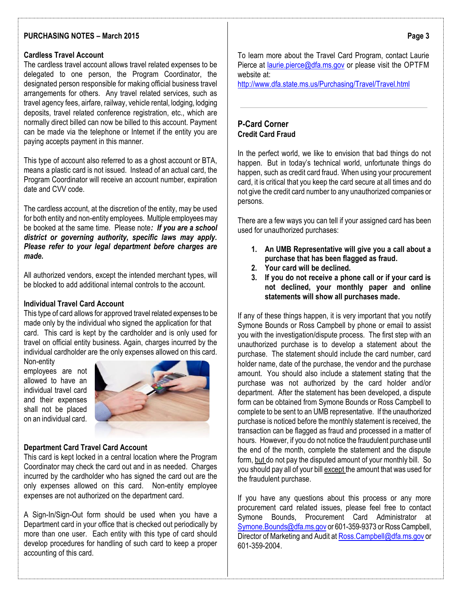## **PURCHASING NOTES – March 2015**

#### **Cardless Travel Account**

The cardless travel account allows travel related expenses to be delegated to one person, the Program Coordinator, the designated person responsible for making official business travel arrangements for others. Any travel related services, such as travel agency fees, airfare, railway, vehicle rental, lodging, lodging deposits, travel related conference registration, etc., which are normally direct billed can now be billed to this account. Payment can be made via the telephone or Internet if the entity you are paying accepts payment in this manner.

This type of account also referred to as a ghost account or BTA, means a plastic card is not issued. Instead of an actual card, the Program Coordinator will receive an account number, expiration date and CVV code.

The cardless account, at the discretion of the entity, may be used for both entity and non-entity employees. Multiple employees may be booked at the same time. Please note*: If you are a school district or governing authority, specific laws may apply. Please refer to your legal department before charges are made.*

All authorized vendors, except the intended merchant types, will be blocked to add additional internal controls to the account.

### **Individual Travel Card Account**

This type of card allows for approved travel related expenses to be made only by the individual who signed the application for that card. This card is kept by the cardholder and is only used for travel on official entity business. Again, charges incurred by the individual cardholder are the only expenses allowed on this card.

Non-entity employees are not allowed to have an individual travel card and their expenses shall not be placed on an individual card.



#### **Department Card Travel Card Account**

This card is kept locked in a central location where the Program Coordinator may check the card out and in as needed. Charges incurred by the cardholder who has signed the card out are the only expenses allowed on this card. Non-entity employee expenses are not authorized on the department card.

A Sign-In/Sign-Out form should be used when you have a Department card in your office that is checked out periodically by more than one user. Each entity with this type of card should develop procedures for handling of such card to keep a proper accounting of this card.

To learn more about the Travel Card Program, contact Laurie Pierce at [laurie.pierce@dfa.ms.gov](mailto:laurie.pierce@dfa.ms.gov) or please visit the OPTFM website at:

<http://www.dfa.state.ms.us/Purchasing/Travel/Travel.html>

### **P-Card Corner Credit Card Fraud**

In the perfect world, we like to envision that bad things do not happen. But in today's technical world, unfortunate things do happen, such as credit card fraud. When using your procurement card, it is critical that you keep the card secure at all times and do not give the credit card number to any unauthorized companies or persons.

There are a few ways you can tell if your assigned card has been used for unauthorized purchases:

- **1. An UMB Representative will give you a call about a purchase that has been flagged as fraud.**
- **2. Your card will be declined.**
- **3. If you do not receive a phone call or if your card is not declined, your monthly paper and online statements will show all purchases made.**

If any of these things happen, it is very important that you notify Symone Bounds or Ross Campbell by phone or email to assist you with the investigation/dispute process. The first step with an unauthorized purchase is to develop a statement about the purchase. The statement should include the card number, card holder name, date of the purchase, the vendor and the purchase amount. You should also include a statement stating that the purchase was not authorized by the card holder and/or department. After the statement has been developed, a dispute form can be obtained from Symone Bounds or Ross Campbell to complete to be sent to an UMB representative. If the unauthorized purchase is noticed before the monthly statement is received, the transaction can be flagged as fraud and processed in a matter of hours. However, if you do not notice the fraudulent purchase until the end of the month, complete the statement and the dispute form, but do not pay the disputed amount of your monthly bill. So you should pay all of your bill except the amount that was used for the fraudulent purchase.

If you have any questions about this process or any more procurement card related issues, please feel free to contact Symone Bounds, Procurement Card Administrator at [Symone.Bounds@dfa.ms.gov](mailto:Symone.Bounds@dfa.ms.gov) or 601-359-9373 or Ross Campbell, Director of Marketing and Audit a[t Ross.Campbell@dfa.ms.gov](mailto:Ross.Campbell@dfa.ms.gov) or 601-359-2004.